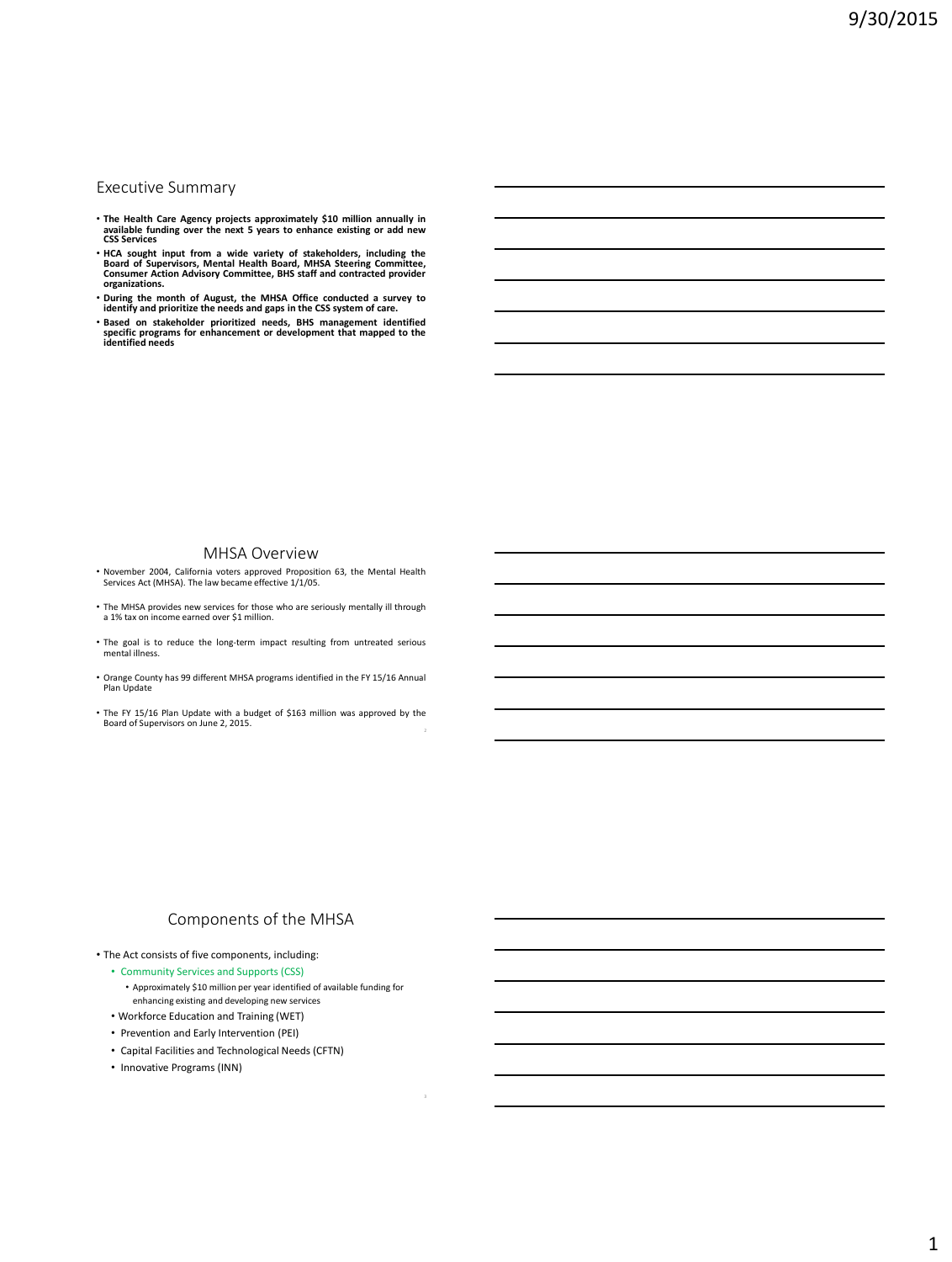#### Executive Summary

- The Health Care Agency projects approximately \$10 million annually in<br>available funding over the next 5 years to enhance existing or add new<br>CSS Services
- HCA sought input from a wide variety of stakeholders, including the Board of Supervisors, Mental Health Board, MHSA Steering Committee, Consumer Action Advisory Committee, BHS staff and contracted provider organizations.
- During the month of August, the MHSA Office conducted a survey to<br>identify and prioritize the needs and gaps in the CSS system of care.
- Based on stakeholder prioritized needs, BHS management identified<br>specific programs for enhancement or development that mapped to the<br>identified needs

#### MHSA Overview

- November 2004, California voters approved Proposition 63, the Mental Health Services Act (MHSA). The law became effective 1/1/05.
- The MHSA provides new services for those who are seriously mentally ill through a 1% tax on income earned over \$1 million.
- The goal is to reduce the long-term impact resulting from untreated serious mental illness.
- Orange County has 99 different MHSA programs identified in the FY 15/16 Annual Plan Update
- The FY 15/16 Plan Update with a budget of \$163 million was approved by the Board of Supervisors on June 2, 2015. 2

## Components of the MHSA

- The Act consists of five components, including:
	- Community Services and Supports (CSS)
	- Approximately \$10 million per year identified of available funding for enhancing existing and developing new services • Workforce Education and Training (WET)
	- Prevention and Early Intervention (PEI)
	- Capital Facilities and Technological Needs (CFTN)
	- Innovative Programs (INN)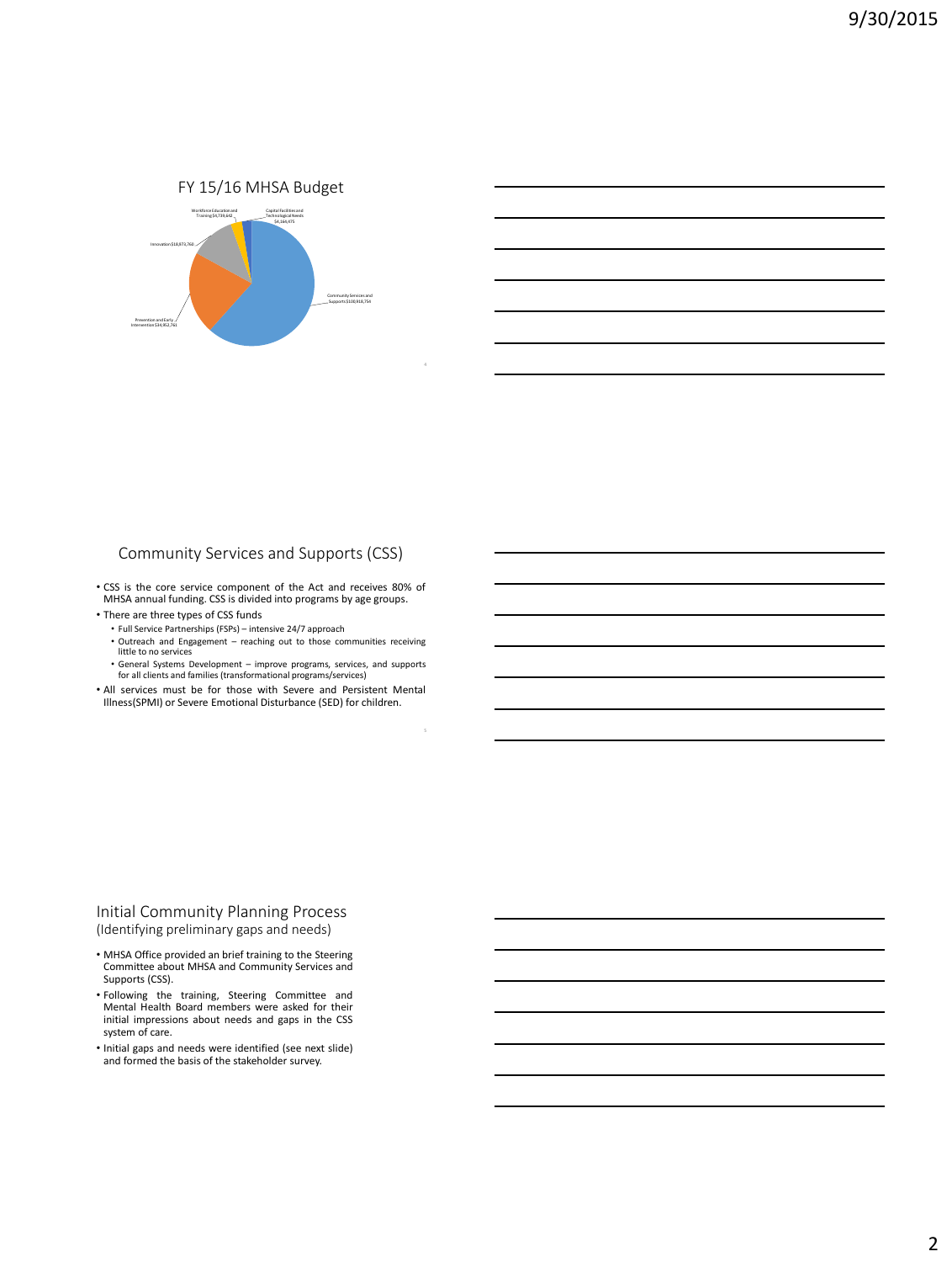FY 15/16 MHSA Budget



# Community Services and Supports (CSS)

• CSS is the core service component of the Act and receives 80% of MHSA annual funding. CSS is divided into programs by age groups.

- There are three types of CSS funds
	- Full Service Partnerships (FSPs) intensive 24/7 approach
	- Outreach and Engagement reaching out to those communities receiving little to no services
	- General Systems Development improve programs, services, and supports for all clients and families (transformational programs/services)

• All services must be for those with Severe and Persistent Mental Illness(SPMI) or Severe Emotional Disturbance (SED) for children.

#### Initial Community Planning Process (Identifying preliminary gaps and needs)

- MHSA Office provided an brief training to the Steering Committee about MHSA and Community Services and Supports (CSS).
- Following the training, Steering Committee and Mental Health Board members were asked for their initial impressions about needs and gaps in the CSS system of care.
- Initial gaps and needs were identified (see next slide) and formed the basis of the stakeholder survey.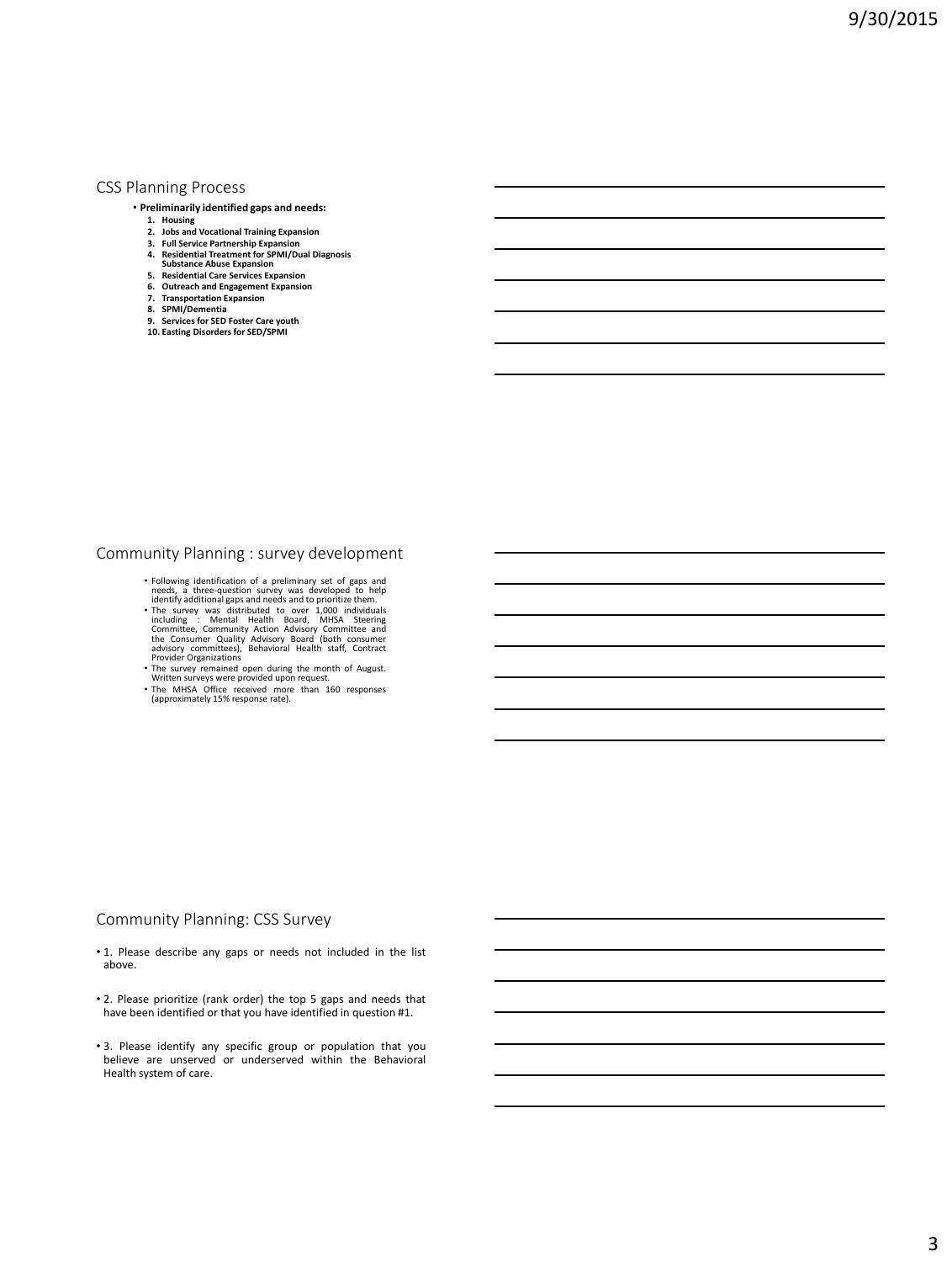#### CSS Planning Process

- **Preliminarily identified gaps and needs:**
	- **1. Housing 2. Jobs and Vocational Training Expansion**
	-
	- **3. Full Service Partnership Expansion 4. Residential Treatment for SPMI/Dual Diagnosis**
	-
	- **Substance Abuse Expansion 5. Residential Care Services Expansion**
	- **6. Outreach and Engagement Expansion 7. Transportation Expansion**
	-
	-
	- **8. SPMI/Dementia 9. Services for SED Foster Care youth 10. Easting Disorders for SED/SPMI**

### Community Planning : survey development

- 
- Following identification of a preliminary set of gaps and<br>needs, a three-question survey was developed to help<br>identify additional gaps and needs and to prioritize them.<br>The survey was distributed to over 1,000 individua
- The survey remained open during the month of August. Written surveys were provided upon request.
- The MHSA Office received more than 160 responses (approximately 15% response rate).

### Community Planning: CSS Survey

- 1. Please describe any gaps or needs not included in the list above.
- 2. Please prioritize (rank order) the top 5 gaps and needs that have been identified or that you have identified in question #1.
- 3. Please identify any specific group or population that you believe are unserved or underserved within the Behavioral Health system of care.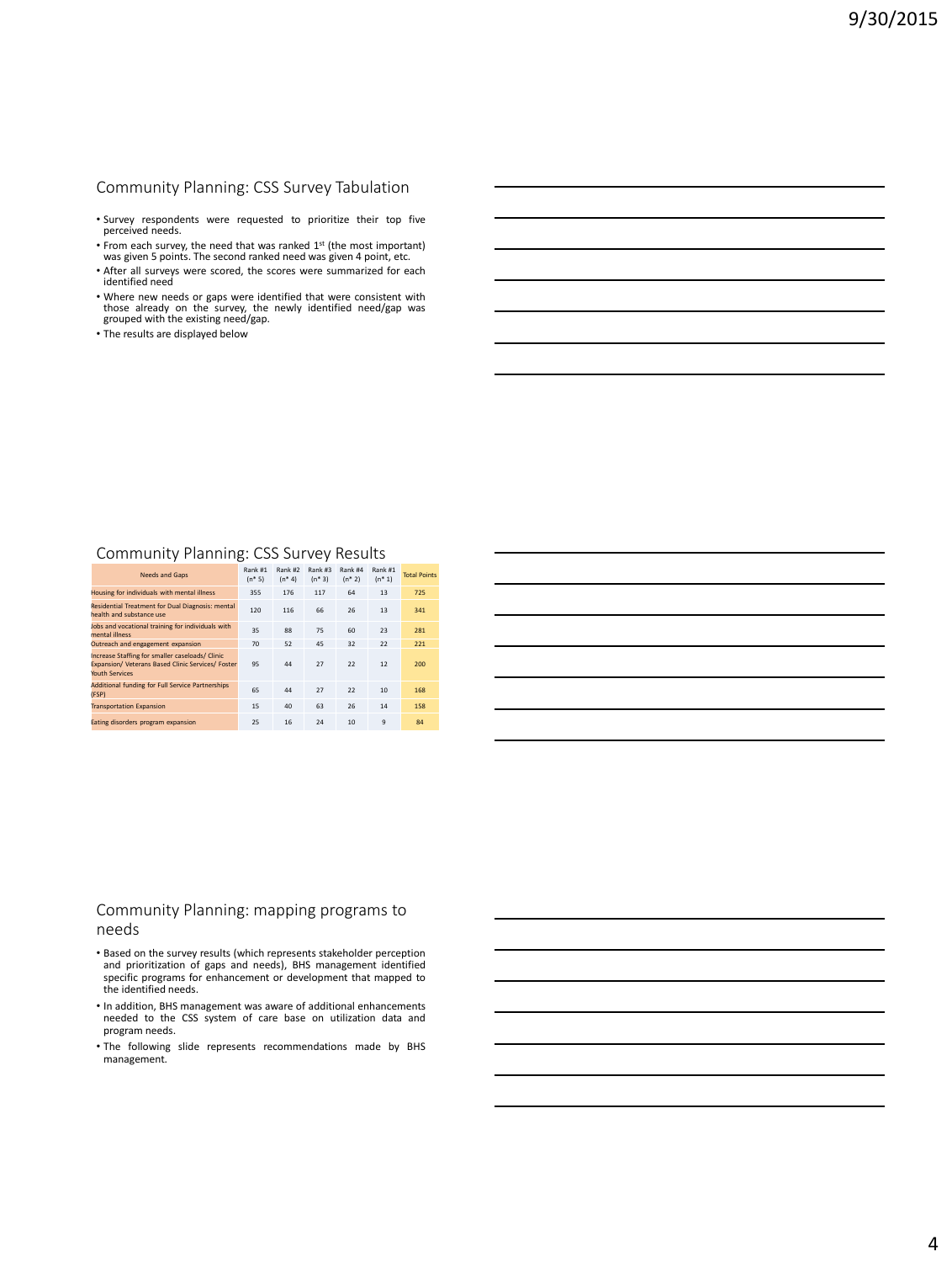# Community Planning: CSS Survey Tabulation

- Survey respondents were requested to prioritize their top five perceived needs.
- From each survey, the need that was ranked 1<sup>st</sup> (the most important) was given 5 points. The second ranked need was given 4 point, etc.
- After all surveys were scored, the scores were summarized for each identified need
- Where new needs or gaps were identified that were consistent with those already on the survey, the newly identified need/gap was grouped with the existing need/gap.
- The results are displayed below

# Community Planning: CSS Survey Results

| Needs and Gaps                                                                                                         | Rank #1<br>$(n * 5)$ | Rank #2<br>$(n * 4)$ | Rank #3<br>$(n * 3)$ | Rank #4<br>$(n * 2)$ | Rank #1<br>$(n * 1)$ | <b>Total Points</b> |
|------------------------------------------------------------------------------------------------------------------------|----------------------|----------------------|----------------------|----------------------|----------------------|---------------------|
| Housing for individuals with mental illness                                                                            | 355                  | 176                  | 117                  | 64                   | 13                   | 725                 |
| Residential Treatment for Dual Diagnosis: mental<br>health and substance use                                           | 120                  | 116                  | 66                   | 26                   | 13                   | 341                 |
| Jobs and vocational training for individuals with<br><b>Panili Istopm</b>                                              | 35                   | 88                   | 75                   | 60                   | 23                   | 281                 |
| Outreach and engagement expansion                                                                                      | 70                   | 52                   | 45                   | 32                   | 22                   | 221                 |
| Increase Staffing for smaller caseloads/ Clinic<br>Expansion/ Veterans Based Clinic Services/ Foster<br>Youth Services | 95                   | 44                   | 27                   | 22                   | 12                   | 200                 |
| <b>Additional funding for Full Service Partnerships</b><br>(FSP)                                                       | 65                   | 44                   | 27                   | 22                   | 10                   | 168                 |
| <b>Transportation Expansion</b>                                                                                        | 15                   | 40                   | 63                   | 26                   | 14                   | 158                 |
| Eating disorders program expansion                                                                                     | 25                   | 16                   | 24                   | 10                   | 9                    | 84                  |

#### Community Planning: mapping programs to needs

- Based on the survey results (which represents stakeholder perception and prioritization of gaps and needs), BHS management identified specific programs for enhancement or development that mapped to the identified needs.
- In addition, BHS management was aware of additional enhancements needed to the CSS system of care base on utilization data and program needs.
- The following slide represents recommendations made by BHS management.